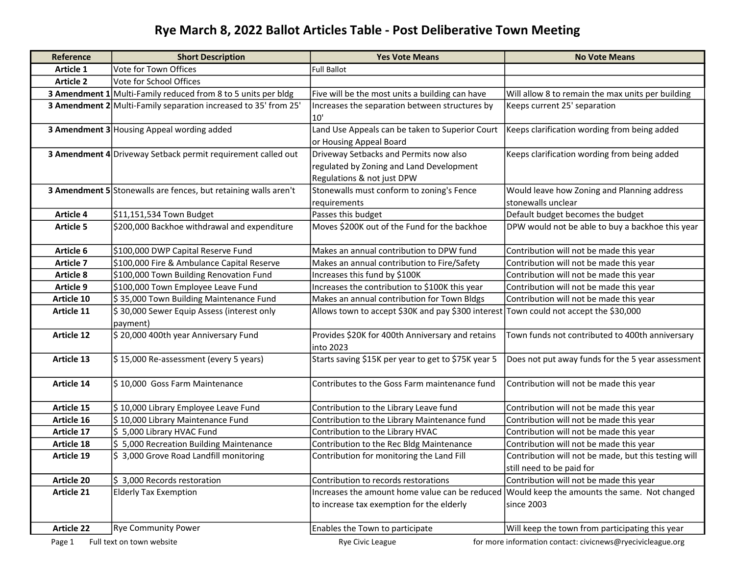## Rye March 8, 2022 Ballot Articles Table - Post Deliberative Town Meeting

| Reference         | <b>Short Description</b>                                        | <b>Yes Vote Means</b>                                         | <b>No Vote Means</b>                                       |
|-------------------|-----------------------------------------------------------------|---------------------------------------------------------------|------------------------------------------------------------|
| Article 1         | Vote for Town Offices                                           | <b>Full Ballot</b>                                            |                                                            |
| <b>Article 2</b>  | Vote for School Offices                                         |                                                               |                                                            |
|                   | 3 Amendment 1 Multi-Family reduced from 8 to 5 units per bldg   | Five will be the most units a building can have               | Will allow 8 to remain the max units per building          |
|                   | 3 Amendment 2 Multi-Family separation increased to 35' from 25' | Increases the separation between structures by                | Keeps current 25' separation                               |
|                   |                                                                 | 10'                                                           |                                                            |
|                   | 3 Amendment 3 Housing Appeal wording added                      | Land Use Appeals can be taken to Superior Court               | Keeps clarification wording from being added               |
|                   |                                                                 | or Housing Appeal Board                                       |                                                            |
|                   | 3 Amendment 4 Driveway Setback permit requirement called out    | Driveway Setbacks and Permits now also                        | Keeps clarification wording from being added               |
|                   |                                                                 | regulated by Zoning and Land Development                      |                                                            |
|                   |                                                                 | Regulations & not just DPW                                    |                                                            |
|                   | 3 Amendment 5 Stonewalls are fences, but retaining walls aren't | Stonewalls must conform to zoning's Fence                     | Would leave how Zoning and Planning address                |
|                   |                                                                 | requirements                                                  | stonewalls unclear                                         |
| <b>Article 4</b>  | \$11,151,534 Town Budget                                        | Passes this budget                                            | Default budget becomes the budget                          |
| <b>Article 5</b>  | \$200,000 Backhoe withdrawal and expenditure                    | Moves \$200K out of the Fund for the backhoe                  | DPW would not be able to buy a backhoe this year           |
|                   |                                                                 |                                                               |                                                            |
| Article 6         | \$100,000 DWP Capital Reserve Fund                              | Makes an annual contribution to DPW fund                      | Contribution will not be made this year                    |
| <b>Article 7</b>  | \$100,000 Fire & Ambulance Capital Reserve                      | Makes an annual contribution to Fire/Safety                   | Contribution will not be made this year                    |
| <b>Article 8</b>  | \$100,000 Town Building Renovation Fund                         | Increases this fund by \$100K                                 | Contribution will not be made this year                    |
| <b>Article 9</b>  | \$100,000 Town Employee Leave Fund                              | Increases the contribution to \$100K this year                | Contribution will not be made this year                    |
| Article 10        | \$35,000 Town Building Maintenance Fund                         | Makes an annual contribution for Town Bldgs                   | Contribution will not be made this year                    |
| Article 11        | \$30,000 Sewer Equip Assess (interest only<br>payment)          | Allows town to accept \$30K and pay \$300 interest            | Town could not accept the \$30,000                         |
| <b>Article 12</b> | \$20,000 400th year Anniversary Fund                            | Provides \$20K for 400th Anniversary and retains<br>into 2023 | Town funds not contributed to 400th anniversary            |
| Article 13        | \$15,000 Re-assessment (every 5 years)                          | Starts saving \$15K per year to get to \$75K year 5           | Does not put away funds for the 5 year assessment          |
|                   |                                                                 |                                                               |                                                            |
| Article 14        | \$10,000 Goss Farm Maintenance                                  | Contributes to the Goss Farm maintenance fund                 | Contribution will not be made this year                    |
| Article 15        | \$10,000 Library Employee Leave Fund                            | Contribution to the Library Leave fund                        | Contribution will not be made this year                    |
| Article 16        | \$10,000 Library Maintenance Fund                               | Contribution to the Library Maintenance fund                  | Contribution will not be made this year                    |
| Article 17        | \$5,000 Library HVAC Fund                                       | Contribution to the Library HVAC                              | Contribution will not be made this year                    |
| Article 18        | \$5,000 Recreation Building Maintenance                         | Contribution to the Rec Bldg Maintenance                      | Contribution will not be made this year                    |
| Article 19        | \$3,000 Grove Road Landfill monitoring                          | Contribution for monitoring the Land Fill                     | Contribution will not be made, but this testing will       |
|                   |                                                                 |                                                               | still need to be paid for                                  |
| <b>Article 20</b> | \$3,000 Records restoration                                     | Contribution to records restorations                          | Contribution will not be made this year                    |
| Article 21        | <b>Elderly Tax Exemption</b>                                    | Increases the amount home value can be reduced                | Would keep the amounts the same. Not changed               |
|                   |                                                                 | to increase tax exemption for the elderly                     | since 2003                                                 |
|                   |                                                                 |                                                               |                                                            |
| <b>Article 22</b> | <b>Rye Community Power</b>                                      | Enables the Town to participate                               | Will keep the town from participating this year            |
| Page 1            | Full text on town website                                       | Rye Civic League                                              | for more information contact: civicnews@ryecivicleague.org |